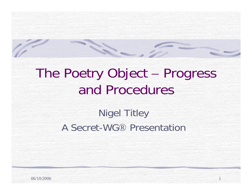# The Poetry Object – Progress and Procedures

11

#### Nigel Titley A Secret-WG® Presentation

06/10/2006

C.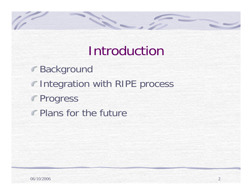#### **Introduction**

Background **Integration with RIPE process** Progress **Plans for the future** 

SER-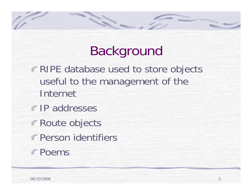## Background

**RIPE database used to store objects** useful to the management of the Internet

S. S. Construction

- **IP** addresses
- Route objects
- Person identifiers
- Poems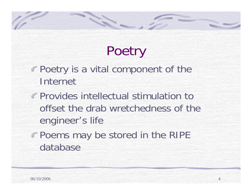# **Poetry**

Poetry is a vital component of the Internet

SER-

- **Provides intellectual stimulation to** offset the drab wretchedness of the engineer's life
- Poems may be stored in the RIPE database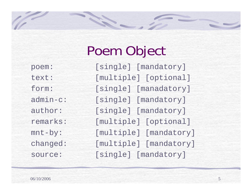# Poem Object

poem: [single] [mandatory] text: [multiple] [optional] form: [single] [manadatory] admin-c: [single] [mandatory] author: [single] [mandatory] remarks: [multiple] [optional] mnt-by: [multiple] [mandatory] changed: [multiple] [mandatory] source: [single] [mandatory]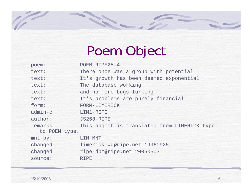# Poem Object

| poem:         | $POEM-RIPE25-4$                              |
|---------------|----------------------------------------------|
| text:         | There once was a group with potential        |
| text:         | It's growth has been deemed exponential      |
| text:         | The database working                         |
| text:         | and no more bugs lurking                     |
| text:         | It's problems are purely financial           |
| form:         | FORM-LIMERICK                                |
| $admin-c$ :   | LIM1-RIPE                                    |
| author:       | JS268-RIPE                                   |
| remarks:      | This object is translated from LIMERICK type |
| to POEM type. |                                              |
| $mnt-by$ :    | LIM-MNT                                      |
| changed:      | limerick-wg@ripe.net 19960925                |
| changed:      | ripe-dbm@ripe.net 20050503                   |
| source:       | <b>RIPE</b>                                  |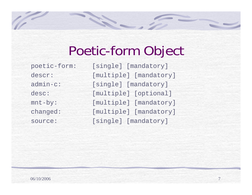#### Poetic-form Object

poetic-form: [single] [mandatory] descr: [multiple] [mandatory] admin-c: [single] [mandatory] desc: [multiple] [optional] mnt-by: [multiple] [mandatory] changed: [multiple] [mandatory] source: [single] [mandatory]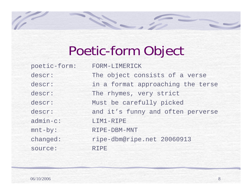# Poetic-form Object

N.

| poetic-form: | FORM-LIMERICK                     |
|--------------|-----------------------------------|
| descr:       | The object consists of a verse    |
| descr:       | in a format approaching the terse |
| descr:       | The rhymes, very strict           |
| descr:       | Must be carefully picked          |
| descr:       | and it's funny and often perverse |
| $admin-c$ :  | LIM1-RIPE                         |
| $mnt-by$ :   | RIPE-DBM-MNT                      |
| changed:     | ripe-dbm@ripe.net 20060913        |
| source:      | <b>RIPE</b>                       |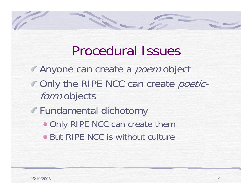#### Procedural Issues

- **Anyone can create a poem object COnly the RIPE NCC can create poetic**form objects
- Fundamental dichotomy

SER.

- **. Only RIPE NCC can create them**
- **But RIPE NCC is without culture**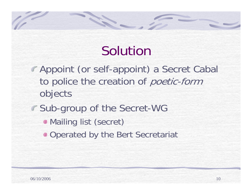### Solutior

- Appoint (or self-appoint) a Secret Cabal to police the creation of poetic-form objects
- Sub-group of the Secret-WG

1

- Mailing list (secret)
- **Operated by the Bert Secretariat**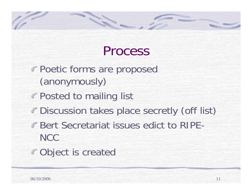### Process

Poetic forms are proposed (anonymously)

S.S.

- **Posted to mailing list**
- Discussion takes place secretly (off list)
- **Bert Secretariat issues edict to RIPE-NCC**
- Object is created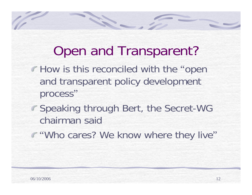### Open and Transparent?

150

- **How is this reconciled with the "open"** and transparent policy development process"
- **Speaking through Bert, the Secret-WG** chairman said
- **F** "Who cares? We know where they live"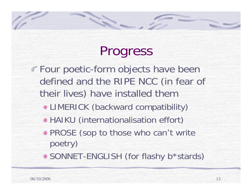# Progress

Four poetic-form objects have been defined and the RIPE NCC (in fear of their lives) have installed them

- LIMERICK (backward compatibility)
- HAIKU (internationalisation effort)
- **PROSE (sop to those who can't write** poetry)
- SONNET-ENGLISH (for flashy b\*stards)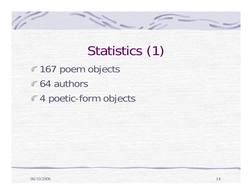# Statistics (1)

**167 poem objects 64 authors** 4 poetic-form objects

S.S.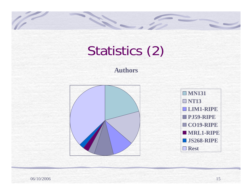# Statistics (2)

14

#### **Authors**

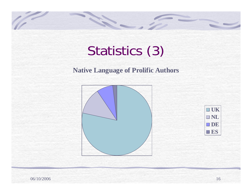# Statistics (3)

#### **Native Language of Prolific Authors**





06/10/2006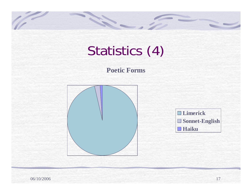# Statistics (4)

#### **Poetic Forms**





06/10/2006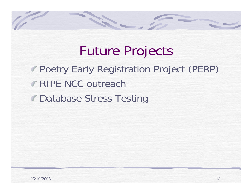Future Projects Poetry Early Registration Project (PERP) RIPE NCC outreach**Database Stress Testing** 

SER.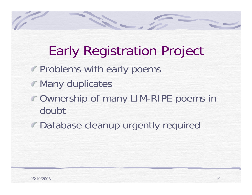# Early Registration Project

**Problems with early poems** 

SER-

- **Many duplicates**
- Ownership of many LIM-RIPE poems in doubt
- Database cleanup urgently required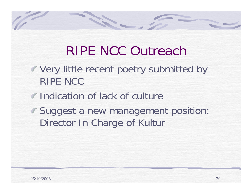### RIPE NCC Outreach

- Very little recent poetry submitted by RIPE NCC
- **Indication of lack of culture**

**SECTION** 

Suggest a new management position: Director In Charge of Kultur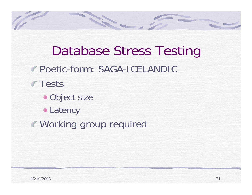Database Stress Testing Poetic-form: SAGA-ICELANDIC **Tests Object size • Latency** Working group required

**SECTION**